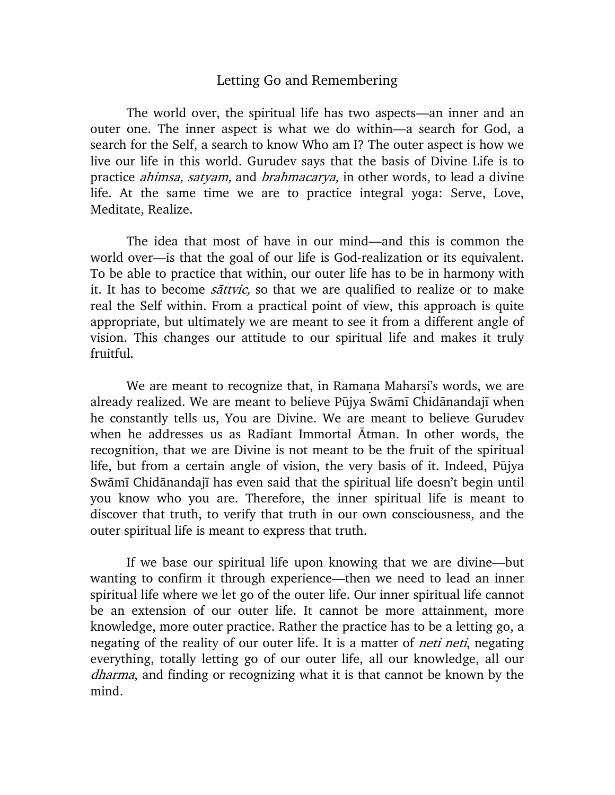## Letting Go and Remembering

The world over, the spiritual life has two aspects—an inner and an outer one. The inner aspect is what we do within—a search for God, a search for the Self, a search to know Who am I? The outer aspect is how we live our life in this world. Gurudev says that the basis of Divine Life is to practice *ahimsa, satyam*, and *brahmacarya*, in other words, to lead a divine life. At the same time we are to practice integral yoga: Serve, Love, Meditate, Realize.

The idea that most of have in our mind—and this is common the world over—is that the goal of our life is God-realization or its equivalent. To be able to practice that within, our outer life has to be in harmony with it. It has to become *sattvic*, so that we are qualified to realize or to make real the Self within. From a practical point of view, this approach is quite appropriate, but ultimately we are meant to see it from a different angle of vision. This changes our attitude to our spiritual life and makes it truly fruitful.

We are meant to recognize that, in Ramana Maharsi's words, we are already realized. We are meant to believe Pūjya Swāmī Chidānandajī when he constantly tells us, You are Divine. We are meant to believe Gurudev when he addresses us as Radiant Immortal Ātman. In other words, the recognition, that we are Divine is not meant to be the fruit of the spiritual life, but from a certain angle of vision, the very basis of it. Indeed, Pūjya Swāmī Chidānandajī has even said that the spiritual life doesn't begin until you know who you are. Therefore, the inner spiritual life is meant to discover that truth, to verify that truth in our own consciousness, and the outer spiritual life is meant to express that truth.

If we base our spiritual life upon knowing that we are divine—but wanting to confirm it through experience—then we need to lead an inner spiritual life where we let go of the outer life. Our inner spiritual life cannot be an extension of our outer life. It cannot be more attainment, more knowledge, more outer practice. Rather the practice has to be a letting go, a negating of the reality of our outer life. It is a matter of *neti neti*, negating everything, totally letting go of our outer life, all our knowledge, all our dharma, and finding or recognizing what it is that cannot be known by the mind.